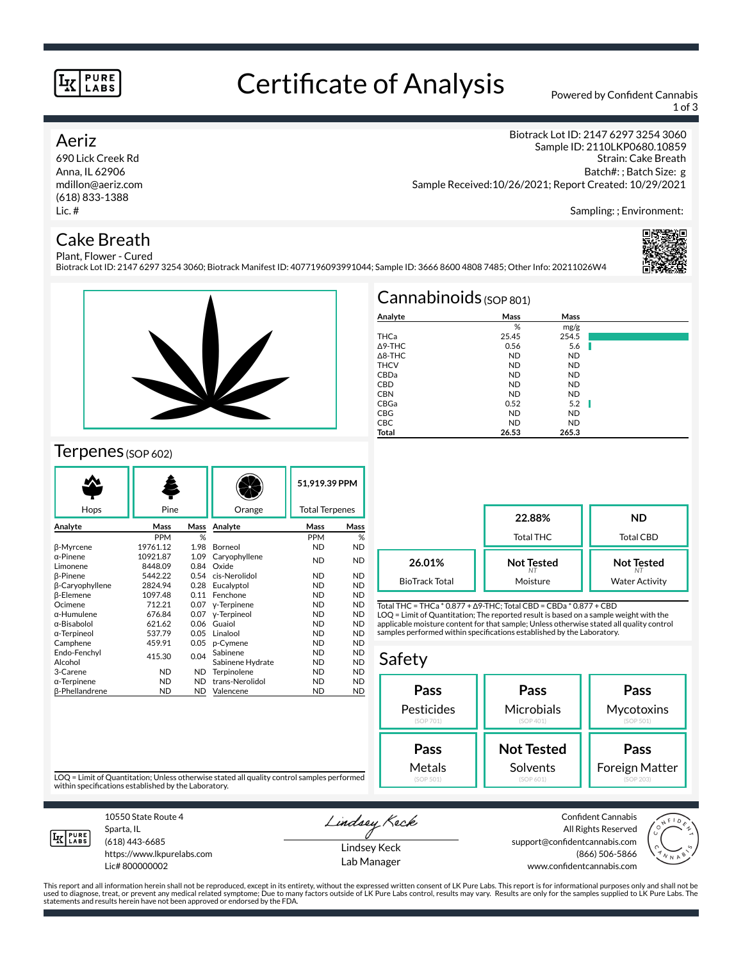### **PURE LABS**

# Certificate of Analysis Powered by Confident Cannabis

1 of 3

Biotrack Lot ID: 2147 6297 3254 3060

## Aeriz

690 Lick Creek Rd Anna, IL 62906 mdillon@aeriz.com (618) 833-1388 Lic. #

# Cake Breath

Sample ID: 2110LKP0680.10859 Strain: Cake Breath Batch#: ; Batch Size: g Sample Received:10/26/2021; Report Created: 10/29/2021

Sampling: ; Environment:

#### Plant, Flower - Cured Biotrack Lot ID: 2147 6297 3254 3060; Biotrack Manifest ID: 4077196093991044; Sample ID: 3666 8600 4808 7485; Other Info: 20211026W4





# Terpenes (SOP 602)

| Hops                   | Pine       |           | Orange           | 51.919.39 PPM<br><b>Total Terpenes</b> |           |
|------------------------|------------|-----------|------------------|----------------------------------------|-----------|
| Analyte                | Mass       | Mass      | Analyte          | Mass                                   | Mass      |
|                        | <b>PPM</b> | %         |                  | <b>PPM</b>                             | %         |
| β-Myrcene              | 19761.12   | 1.98      | Borneol          | <b>ND</b>                              | <b>ND</b> |
| α-Pinene               | 10921.87   | 1.09      | Caryophyllene    | <b>ND</b>                              | <b>ND</b> |
| Limonene               | 8448.09    | 0.84      | Oxide            |                                        |           |
| <b>B-Pinene</b>        | 5442.22    | 0.54      | cis-Nerolidol    | ND.                                    | <b>ND</b> |
| <b>B-Caryophyllene</b> | 2824.94    | 0.28      | Eucalyptol       | ND.                                    | <b>ND</b> |
| <b>B-Elemene</b>       | 1097.48    | 0.11      | Fenchone         | ND.                                    | <b>ND</b> |
| Ocimene                | 712.21     | 0.07      | y-Terpinene      | ND.                                    | <b>ND</b> |
| α-Humulene             | 676.84     | 0.07      | y-Terpineol      | ND.                                    | <b>ND</b> |
| α-Bisabolol            | 621.62     | 0.06      | Guaiol           | <b>ND</b>                              | <b>ND</b> |
| α-Terpineol            | 537.79     | 0.05      | Linalool         | <b>ND</b>                              | <b>ND</b> |
| Camphene               | 459.91     | 0.05      | p-Cymene         | ND.                                    | <b>ND</b> |
| Endo-Fenchvl           | 415.30     | 0.04      | Sabinene         | <b>ND</b>                              | <b>ND</b> |
| Alcohol                |            |           | Sabinene Hydrate | <b>ND</b>                              | <b>ND</b> |
| 3-Carene               | <b>ND</b>  | ND.       | Terpinolene      | <b>ND</b>                              | <b>ND</b> |
| α-Terpinene            | <b>ND</b>  | <b>ND</b> | trans-Nerolidol  | ND.                                    | <b>ND</b> |
| <b>ß-Phellandrene</b>  | <b>ND</b>  | ND.       | Valencene        | <b>ND</b>                              | <b>ND</b> |

|                   | Cannabinoids $(sOP 801)$ |           |      |
|-------------------|--------------------------|-----------|------|
| Analyte           | Mass                     | Mass      |      |
|                   | %                        | mg/g      |      |
| THCa              | 25.45                    | 254.5     |      |
| $\Delta$ 9-THC    | 0.56                     | 5.6       |      |
| $\triangle$ 8-THC | <b>ND</b>                | <b>ND</b> |      |
| <b>THCV</b>       | <b>ND</b>                | <b>ND</b> |      |
| CBDa              | <b>ND</b>                | <b>ND</b> |      |
| <b>CBD</b>        | <b>ND</b>                | <b>ND</b> |      |
| <b>CBN</b>        | <b>ND</b>                | <b>ND</b> |      |
| CBGa              | 0.52                     | 5.2       | - II |
| <b>CBG</b>        | <b>ND</b>                | <b>ND</b> |      |
| <b>CBC</b>        | <b>ND</b>                | <b>ND</b> |      |
| Total             | 26.53                    | 265.3     |      |

**22.88%** Total THC **ND** Total CBD **Not Tested** *NT* Moisture **Not Tested** *NT* Water Activity **26.01%** BioTrack Total

Total THC = THCa \* 0.877 + ∆9-THC; Total CBD = CBDa \* 0.877 + CBD LOQ = Limit of Quantitation; The reported result is based on a sample weight with the applicable moisture content for that sample; Unless otherwise stated all quality control samples performed within specifications established by the Laboratory.

### Safety



LOQ = Limit of Quantitation; Unless otherwise stated all quality control samples performed within specifications established by the Laboratory.



Sparta, IL (618) 443-6685

10550 State Route 4

https://www.lkpurelabs.com Lic# 800000002

Lindsey Keck Lindsey Keck

Lab Manager

Confident Cannabis All Rights Reserved support@confidentcannabis.com (866) 506-5866 www.confidentcannabis.com



This report and all information herein shall not be reproduced, except in its entirety, without the expressed written consent of LK Pure Labs. This report is for informational purposes only and shall not be<br>used to diagnos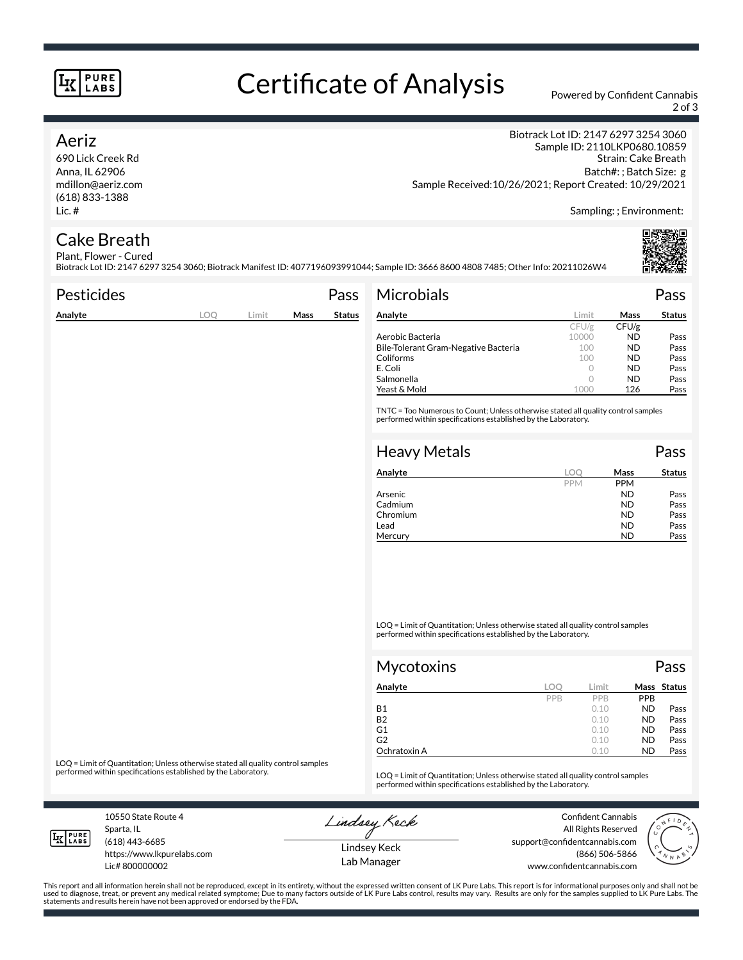### **PURE LABS**

# Certificate of Analysis Powered by Confident Cannabis

2 of 3

### Aeriz

690 Lick Creek Rd Anna, IL 62906 mdillon@aeriz.com (618) 833-1388 Lic. #

Biotrack Lot ID: 2147 6297 3254 3060 Sample ID: 2110LKP0680.10859 Strain: Cake Breath Batch#: ; Batch Size: g Sample Received:10/26/2021; Report Created: 10/29/2021

Sampling: ; Environment:

#### Cake Breath Plant, Flower - Cured

Biotrack Lot ID: 2147 6297 3254 3060; Biotrack Manifest ID: 4077196093991044; Sample ID: 3666 8600 4808 7485; Other Info: 20211026W4

| <b>Pesticides</b> |     |       |      | Pass          | <b>Microbials</b>                                                                                                                                   |         |       | Pass          |
|-------------------|-----|-------|------|---------------|-----------------------------------------------------------------------------------------------------------------------------------------------------|---------|-------|---------------|
| Analyte           | LOO | Limit | Mass | <b>Status</b> | Analyte                                                                                                                                             | Limit   | Mass  | <b>Status</b> |
|                   |     |       |      |               |                                                                                                                                                     | CFU/g   | CFU/g |               |
|                   |     |       |      |               | Aerobic Bacteria                                                                                                                                    | 10000   | ND.   | Pass          |
|                   |     |       |      |               | Bile-Tolerant Gram-Negative Bacteria                                                                                                                | 100     | ND.   | Pass          |
|                   |     |       |      |               | Coliforms                                                                                                                                           | 100     | ND.   | Pass          |
|                   |     |       |      |               | E. Coli                                                                                                                                             | $\circ$ | ND.   | Pass          |
|                   |     |       |      |               | Salmonella                                                                                                                                          |         | ND.   | Pass          |
|                   |     |       |      |               | Yeast & Mold                                                                                                                                        | 1000    | 126   | Pass          |
|                   |     |       |      |               | TNTC = Too Numerous to Count; Unless otherwise stated all quality control samples<br>performed within specifications established by the Laboratory. |         |       |               |
|                   |     |       |      |               | <b>Heavy Metals</b>                                                                                                                                 |         |       | Pass          |
|                   |     |       |      |               | Analyte                                                                                                                                             | LOO     | Mass  | <b>Status</b> |

| Analyte  | LOC        | Mass       | <b>Status</b> |
|----------|------------|------------|---------------|
|          | <b>PPM</b> | <b>PPM</b> |               |
| Arsenic  |            | <b>ND</b>  | Pass          |
| Cadmium  |            | <b>ND</b>  | Pass          |
| Chromium |            | <b>ND</b>  | Pass          |
| Lead     |            | <b>ND</b>  | Pass          |
| Mercury  |            | ND         | Pass          |

LOQ = Limit of Quantitation; Unless otherwise stated all quality control samples performed within specifications established by the Laboratory.

| <b>Mycotoxins</b> |     |       |           | Pass        |
|-------------------|-----|-------|-----------|-------------|
| Analyte           | LOC | Limit |           | Mass Status |
|                   | PPB | PPB   | PPB       |             |
| <b>B1</b>         |     | 0.10  | <b>ND</b> | Pass        |
| <b>B2</b>         |     | 0.10  | <b>ND</b> | Pass        |
| G1                |     | 0.10  | <b>ND</b> | Pass        |
| G2                |     | 0.10  | <b>ND</b> | Pass        |
| Ochratoxin A      |     | 0.10  | <b>ND</b> | Pass        |

LOQ = Limit of Quantitation; Unless otherwise stated all quality control samples<br>performed within specifications established by the Laboratory.

LOQ = Limit of Quantitation; Unless otherwise stated all quality control samples performed within specifications established by the Laboratory.

10550 State Route 4 Sparta, IL

**IK PURE** 

(618) 443-6685

Lic# 800000002

https://www.lkpurelabs.com

Lindsey Keck

Confident Cannabis All Rights Reserved support@confidentcannabis.com (866) 506-5866 www.confidentcannabis.com



Lindsey Keck Lab Manager

This report and all information herein shall not be reproduced, except in its entirety, without the expressed written consent of LK Pure Labs. This report is for informational purposes only and shall not be<br>used to diagnos